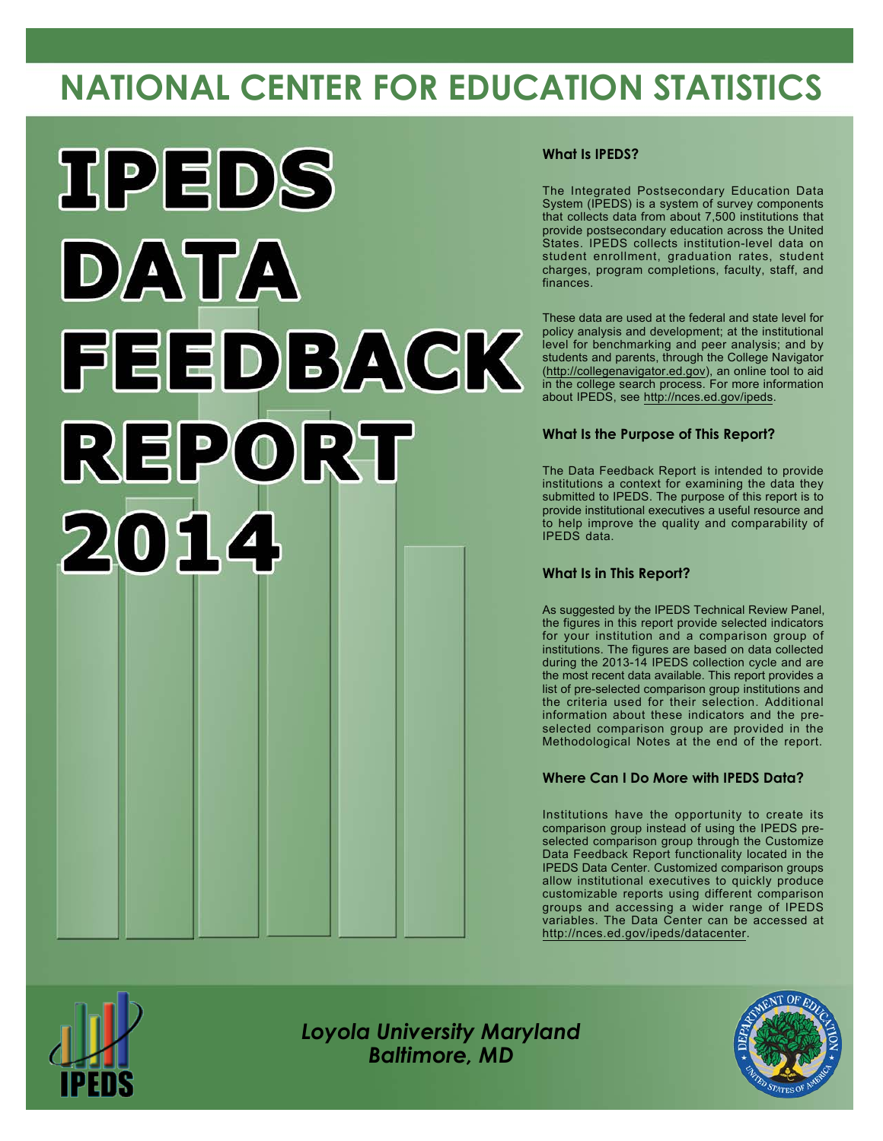# **NATIONAL CENTER FOR EDUCATION STATISTICS**



#### **What Is IPEDS?**

The Integrated Postsecondary Education Data System (IPEDS) is a system of survey components that collects data from about 7,500 institutions that provide postsecondary education across the United States. IPEDS collects institution-level data on student enrollment, graduation rates, student charges, program completions, faculty, staff, and finances.

These data are used at the federal and state level for policy analysis and development; at the institutional level for benchmarking and peer analysis; and by students and parents, through the College Navigator [\(http://collegenavigator.ed.gov](http://collegenavigator.ed.gov)), an online tool to aid in the college search process. For more information about IPEDS, see <http://nces.ed.gov/ipeds>.

#### **What Is the Purpose of This Report?**

The Data Feedback Report is intended to provide institutions a context for examining the data they submitted to IPEDS. The purpose of this report is to provide institutional executives a useful resource and to help improve the quality and comparability of IPEDS data.

#### **What Is in This Report?**

As suggested by the IPEDS Technical Review Panel, the figures in this report provide selected indicators for your institution and a comparison group of institutions. The figures are based on data collected during the 2013-14 IPEDS collection cycle and are the most recent data available. This report provides a list of pre-selected comparison group institutions and the criteria used for their selection. Additional information about these indicators and the preselected comparison group are provided in the Methodological Notes at the end of the report.

#### **Where Can I Do More with IPEDS Data?**

Institutions have the opportunity to create its comparison group instead of using the IPEDS preselected comparison group through the Customize Data Feedback Report functionality located in the IPEDS Data Center. Customized comparison groups allow institutional executives to quickly produce customizable reports using different comparison groups and accessing a wider range of IPEDS variables. The Data Center can be accessed at <http://nces.ed.gov/ipeds/datacenter>.



*Loyola University Maryland Baltimore, MD*

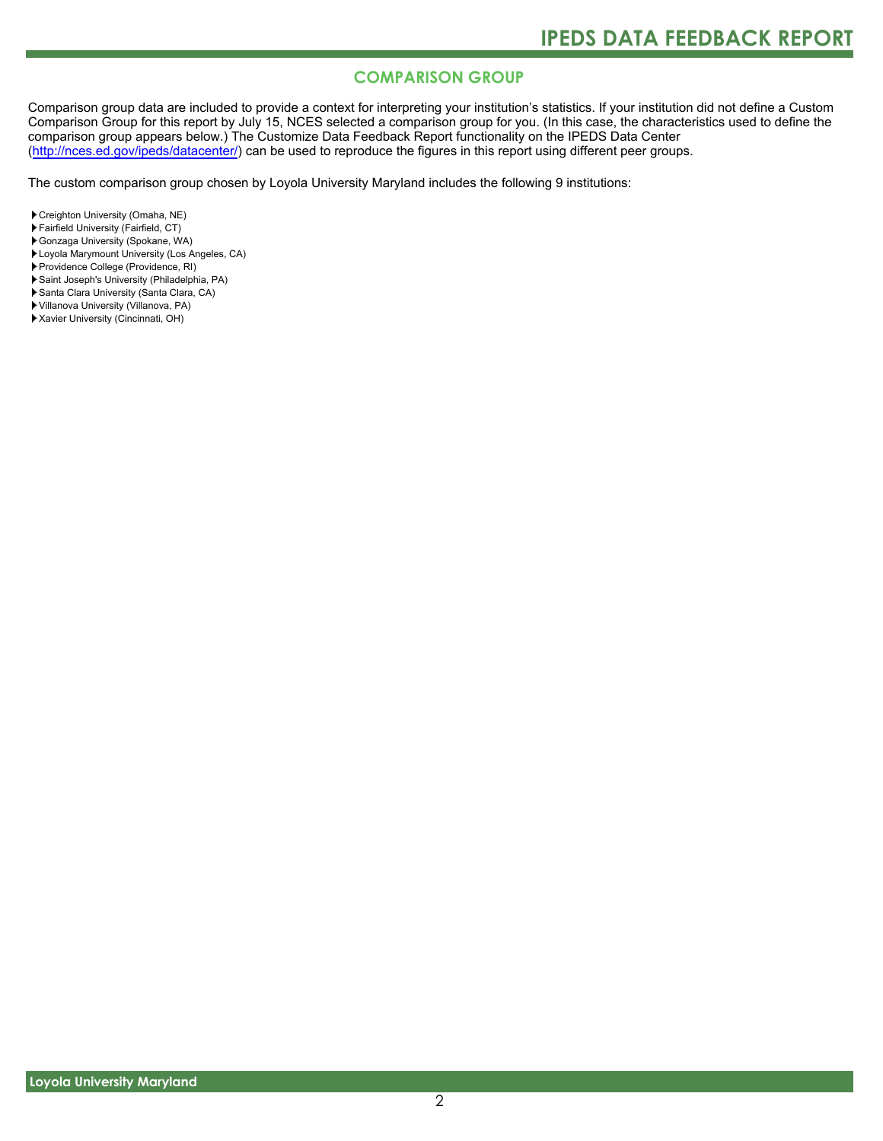### **COMPARISON GROUP**

Comparison group data are included to provide a context for interpreting your institution's statistics. If your institution did not define a Custom Comparison Group for this report by July 15, NCES selected a comparison group for you. (In this case, the characteristics used to define the comparison group appears below.) The Customize Data Feedback Report functionality on the IPEDS Data Center [\(http://nces.ed.gov/ipeds/datacenter/\)](http://nces.ed.gov/ipeds/datacenter/) can be used to reproduce the figures in this report using different peer groups.

The custom comparison group chosen by Loyola University Maryland includes the following 9 institutions:

- Creighton University (Omaha, NE)
- Fairfield University (Fairfield, CT)
- Gonzaga University (Spokane, WA)
- Loyola Marymount University (Los Angeles, CA)
- Providence College (Providence, RI)
- Saint Joseph's University (Philadelphia, PA)
- Santa Clara University (Santa Clara, CA)
- Villanova University (Villanova, PA)
- Xavier University (Cincinnati, OH)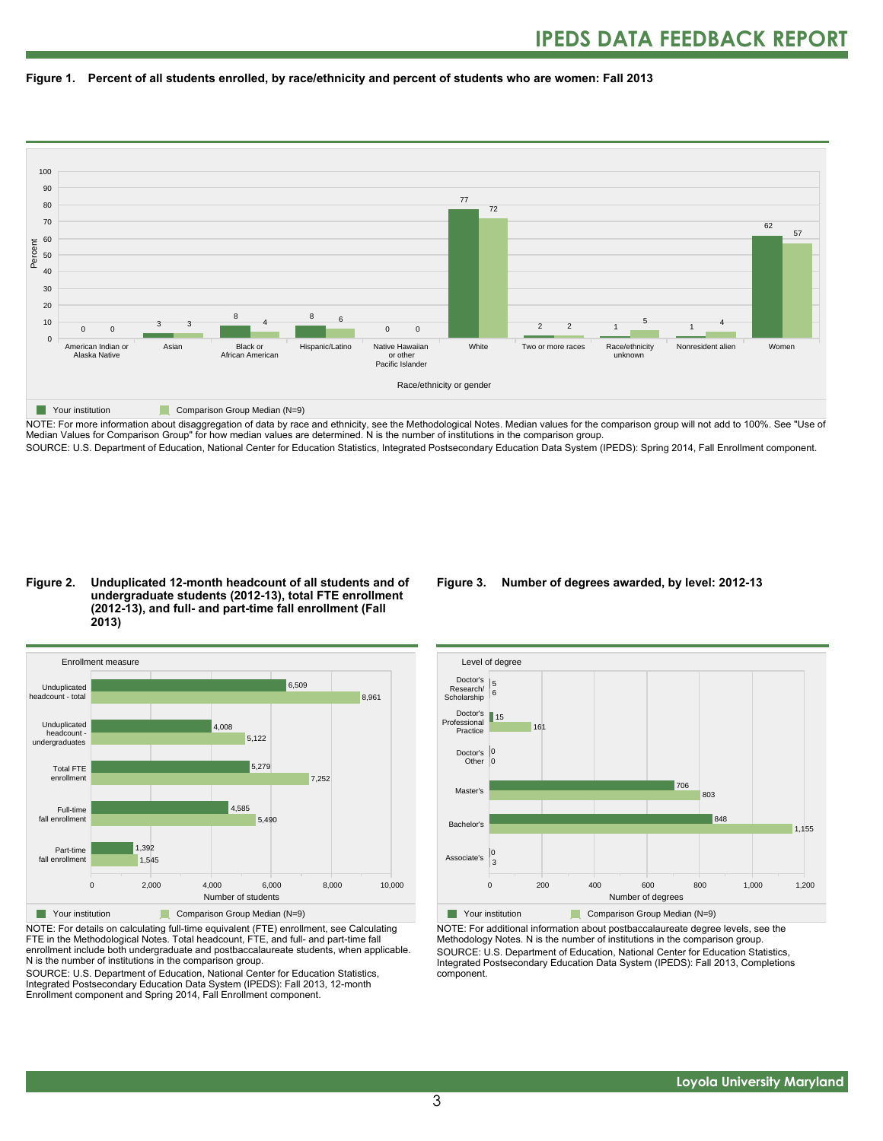



NOTE: For more information about disaggregation of data by race and ethnicity, see the Methodological Notes. Median values for the comparison group will not add to 100%. See "Use of Median Values for Comparison Group" for how median values are determined. N is the number of institutions in the comparison group. SOURCE: U.S. Department of Education, National Center for Education Statistics, Integrated Postsecondary Education Data System (IPEDS): Spring 2014, Fall Enrollment component.

#### **Figure 2. Unduplicated 12-month headcount of all students and of undergraduate students (2012-13), total FTE enrollment (2012-13), and full- and part-time fall enrollment (Fall 2013)**



NOTE: For details on calculating full-time equivalent (FTE) enrollment, see Calculating FTE in the Methodological Notes. Total headcount, FTE, and full- and part-time fall enrollment include both undergraduate and postbaccalaureate students, when applicable. N is the number of institutions in the comparison group.

SOURCE: U.S. Department of Education, National Center for Education Statistics, Integrated Postsecondary Education Data System (IPEDS): Fall 2013, 12-month Enrollment component and Spring 2014, Fall Enrollment component.

#### **Figure 3. Number of degrees awarded, by level: 2012-13**



NOTE: For additional information about postbaccalaureate degree levels, see the Methodology Notes. N is the number of institutions in the comparison group. SOURCE: U.S. Department of Education, National Center for Education Statistics, Integrated Postsecondary Education Data System (IPEDS): Fall 2013, Completions component.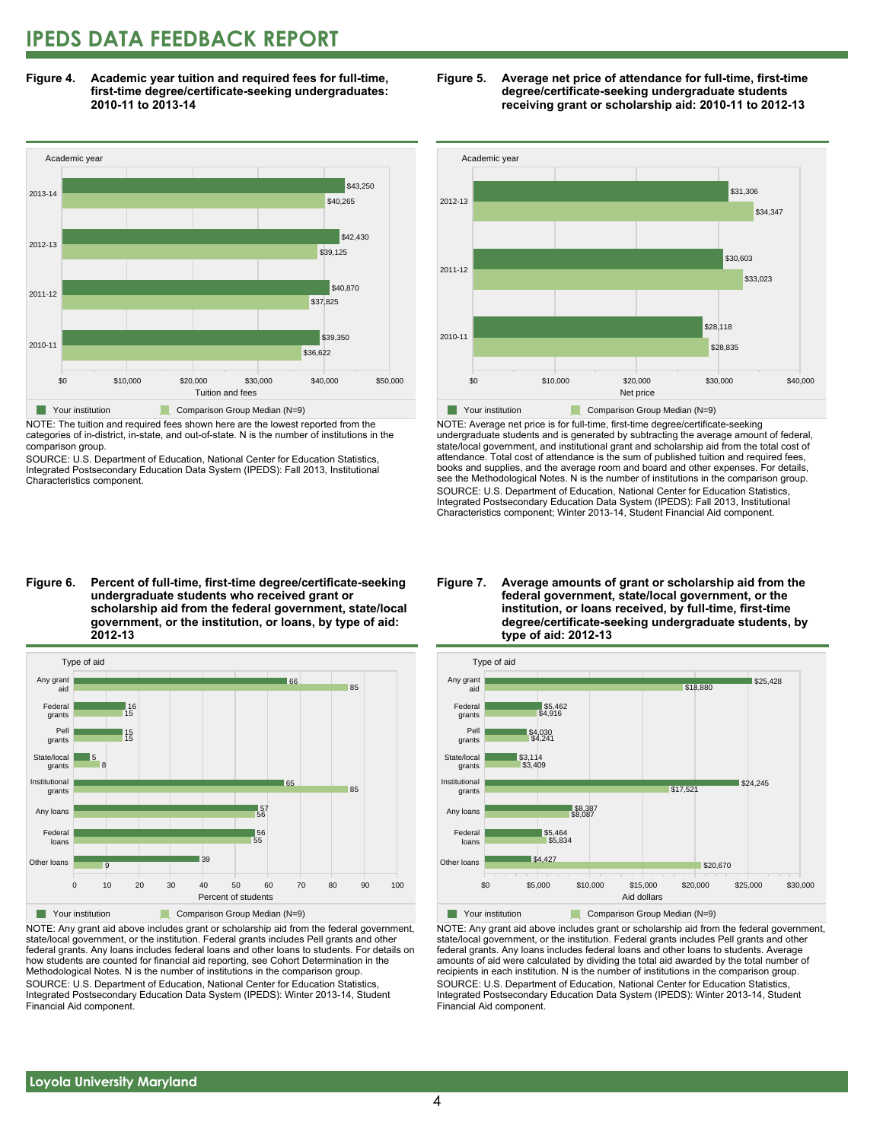## **IPEDS DATA FEEDBACK REPORT**

**Figure 4. Academic year tuition and required fees for full-time, first-time degree/certificate-seeking undergraduates: 2010-11 to 2013-14**



NOTE: The tuition and required fees shown here are the lowest reported from the categories of in-district, in-state, and out-of-state. N is the number of institutions in the comparison group.

SOURCE: U.S. Department of Education, National Center for Education Statistics, Integrated Postsecondary Education Data System (IPEDS): Fall 2013, Institutional Characteristics component.





NOTE: Average net price is for full-time, first-time degree/certificate-seeking undergraduate students and is generated by subtracting the average amount of federal, state/local government, and institutional grant and scholarship aid from the total cost of attendance. Total cost of attendance is the sum of published tuition and required fees, books and supplies, and the average room and board and other expenses. For details, see the Methodological Notes. N is the number of institutions in the comparison group. SOURCE: U.S. Department of Education, National Center for Education Statistics, Integrated Postsecondary Education Data System (IPEDS): Fall 2013, Institutional Characteristics component; Winter 2013-14, Student Financial Aid component.

**Figure 6. Percent of full-time, first-time degree/certificate-seeking undergraduate students who received grant or scholarship aid from the federal government, state/local government, or the institution, or loans, by type of aid: 2012-13**



NOTE: Any grant aid above includes grant or scholarship aid from the federal government, state/local government, or the institution. Federal grants includes Pell grants and other federal grants. Any loans includes federal loans and other loans to students. For details on how students are counted for financial aid reporting, see Cohort Determination in the Methodological Notes. N is the number of institutions in the comparison group. SOURCE: U.S. Department of Education, National Center for Education Statistics, Integrated Postsecondary Education Data System (IPEDS): Winter 2013-14, Student Financial Aid component.

#### **Figure 7. Average amounts of grant or scholarship aid from the federal government, state/local government, or the institution, or loans received, by full-time, first-time degree/certificate-seeking undergraduate students, by type of aid: 2012-13**



NOTE: Any grant aid above includes grant or scholarship aid from the federal government, state/local government, or the institution. Federal grants includes Pell grants and other federal grants. Any loans includes federal loans and other loans to students. Average amounts of aid were calculated by dividing the total aid awarded by the total number of recipients in each institution. N is the number of institutions in the comparison group. SOURCE: U.S. Department of Education, National Center for Education Statistics, Integrated Postsecondary Education Data System (IPEDS): Winter 2013-14, Student Financial Aid component.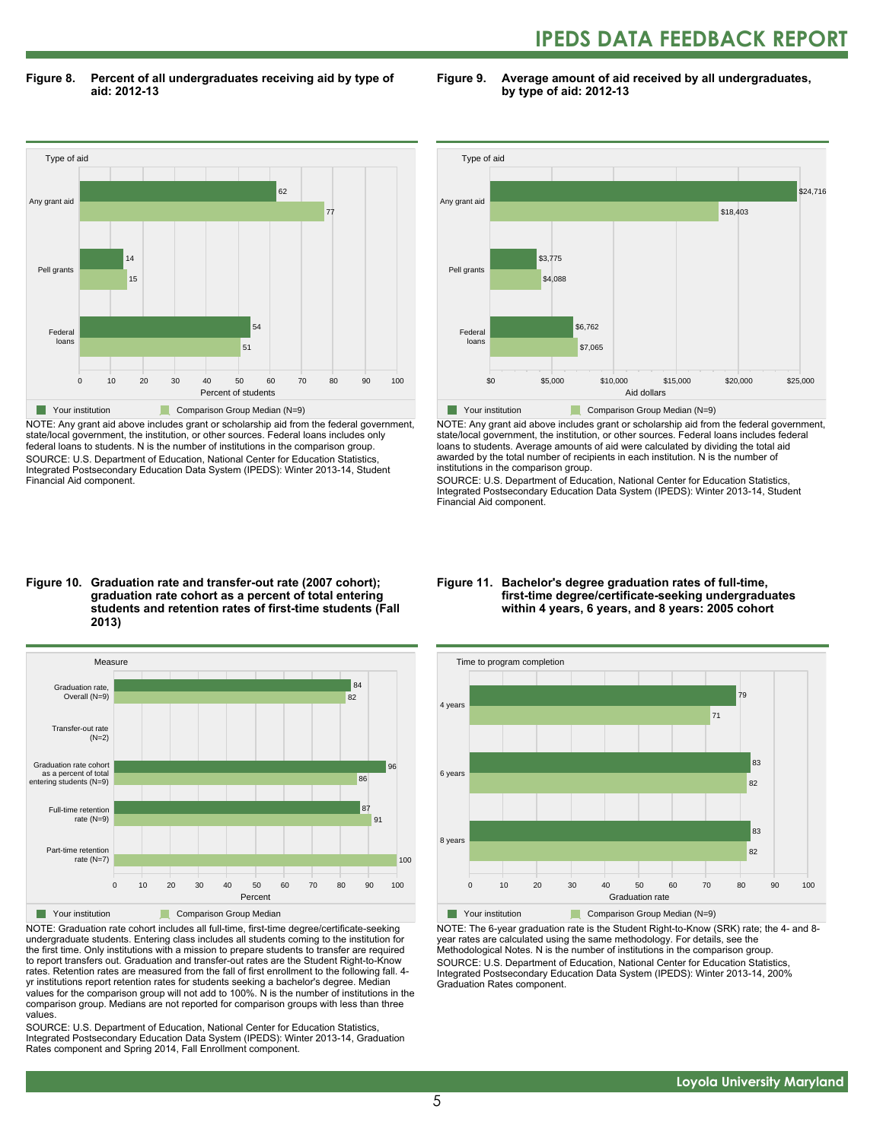## **IPEDS DATA FEEDBACK REPORT**

**Figure 8. Percent of all undergraduates receiving aid by type of aid: 2012-13**

**Figure 9. Average amount of aid received by all undergraduates, by type of aid: 2012-13**



NOTE: Any grant aid above includes grant or scholarship aid from the federal government, state/local government, the institution, or other sources. Federal loans includes only federal loans to students. N is the number of institutions in the comparison group. SOURCE: U.S. Department of Education, National Center for Education Statistics, Integrated Postsecondary Education Data System (IPEDS): Winter 2013-14, Student Financial Aid component.



NOTE: Any grant aid above includes grant or scholarship aid from the federal government, state/local government, the institution, or other sources. Federal loans includes federal loans to students. Average amounts of aid were calculated by dividing the total aid awarded by the total number of recipients in each institution. N is the number of institutions in the comparison group.

SOURCE: U.S. Department of Education, National Center for Education Statistics, Integrated Postsecondary Education Data System (IPEDS): Winter 2013-14, Student Financial Aid component.

#### **Figure 10. Graduation rate and transfer-out rate (2007 cohort); graduation rate cohort as a percent of total entering students and retention rates of first-time students (Fall 2013)**



NOTE: Graduation rate cohort includes all full-time, first-time degree/certificate-seeking undergraduate students. Entering class includes all students coming to the institution for the first time. Only institutions with a mission to prepare students to transfer are required to report transfers out. Graduation and transfer-out rates are the Student Right-to-Know rates. Retention rates are measured from the fall of first enrollment to the following fall. 4 yr institutions report retention rates for students seeking a bachelor's degree. Median values for the comparison group will not add to 100%. N is the number of institutions in the comparison group. Medians are not reported for comparison groups with less than three values.

SOURCE: U.S. Department of Education, National Center for Education Statistics, Integrated Postsecondary Education Data System (IPEDS): Winter 2013-14, Graduation Rates component and Spring 2014, Fall Enrollment component.

#### **Figure 11. Bachelor's degree graduation rates of full-time, first-time degree/certificate-seeking undergraduates within 4 years, 6 years, and 8 years: 2005 cohort**



NOTE: The 6-year graduation rate is the Student Right-to-Know (SRK) rate; the 4- and 8 year rates are calculated using the same methodology. For details, see the Methodological Notes. N is the number of institutions in the comparison group. SOURCE: U.S. Department of Education, National Center for Education Statistics, Integrated Postsecondary Education Data System (IPEDS): Winter 2013-14, 200% Graduation Rates component.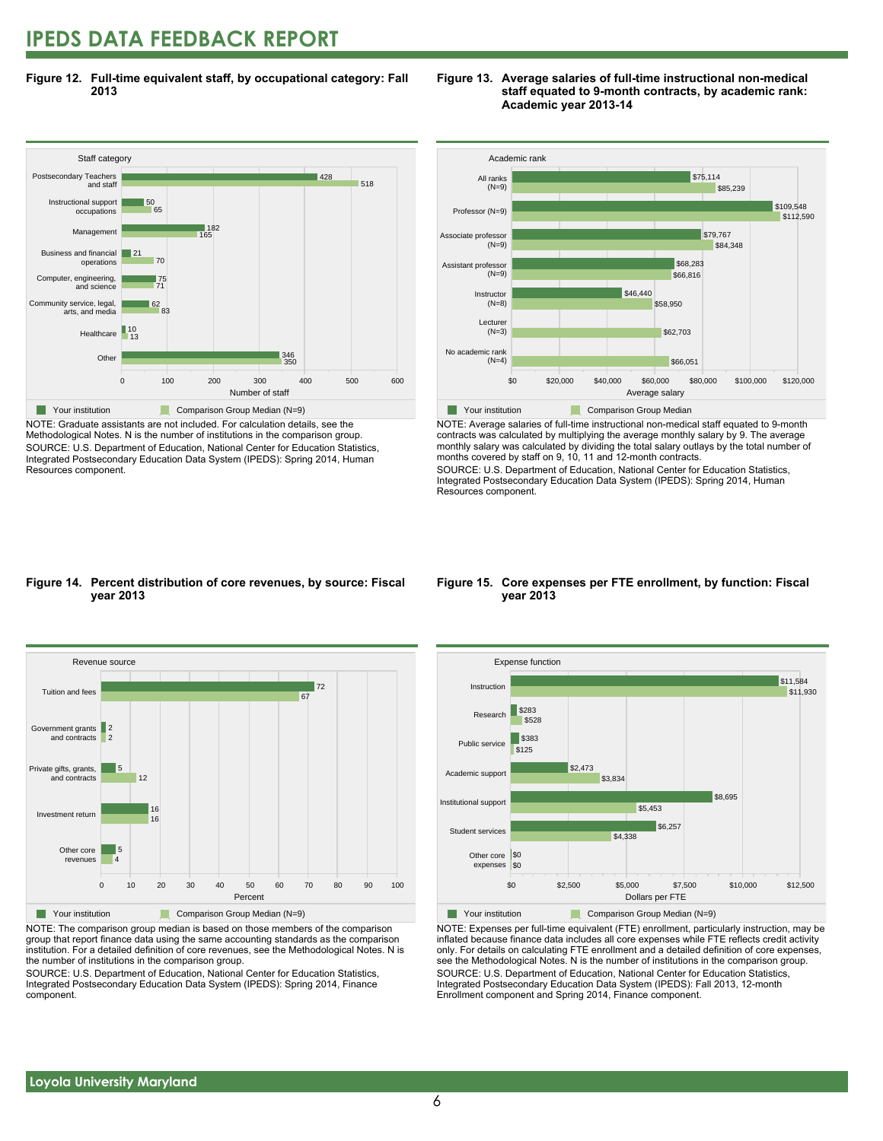## **IPEDS DATA FEEDBACK REPORT**

**Figure 12. Full-time equivalent staff, by occupational category: Fall 2013**



NOTE: Graduate assistants are not included. For calculation details, see the Methodological Notes. N is the number of institutions in the comparison group. SOURCE: U.S. Department of Education, National Center for Education Statistics, Integrated Postsecondary Education Data System (IPEDS): Spring 2014, Human Resources component.





NOTE: Average salaries of full-time instructional non-medical staff equated to 9-month contracts was calculated by multiplying the average monthly salary by 9. The average monthly salary was calculated by dividing the total salary outlays by the total number of months covered by staff on 9, 10, 11 and 12-month contracts.

SOURCE: U.S. Department of Education, National Center for Education Statistics, Integrated Postsecondary Education Data System (IPEDS): Spring 2014, Human Resources component.

#### **Figure 14. Percent distribution of core revenues, by source: Fiscal year 2013**



NOTE: The comparison group median is based on those members of the comparison group that report finance data using the same accounting standards as the comparison institution. For a detailed definition of core revenues, see the Methodological Notes. N is the number of institutions in the comparison group.

SOURCE: U.S. Department of Education, National Center for Education Statistics, Integrated Postsecondary Education Data System (IPEDS): Spring 2014, Finance component.

#### **Figure 15. Core expenses per FTE enrollment, by function: Fiscal year 2013**



NOTE: Expenses per full-time equivalent (FTE) enrollment, particularly instruction, may be inflated because finance data includes all core expenses while FTE reflects credit activity only. For details on calculating FTE enrollment and a detailed definition of core expenses, see the Methodological Notes. N is the number of institutions in the comparison group. SOURCE: U.S. Department of Education, National Center for Education Statistics, Integrated Postsecondary Education Data System (IPEDS): Fall 2013, 12-month Enrollment component and Spring 2014, Finance component.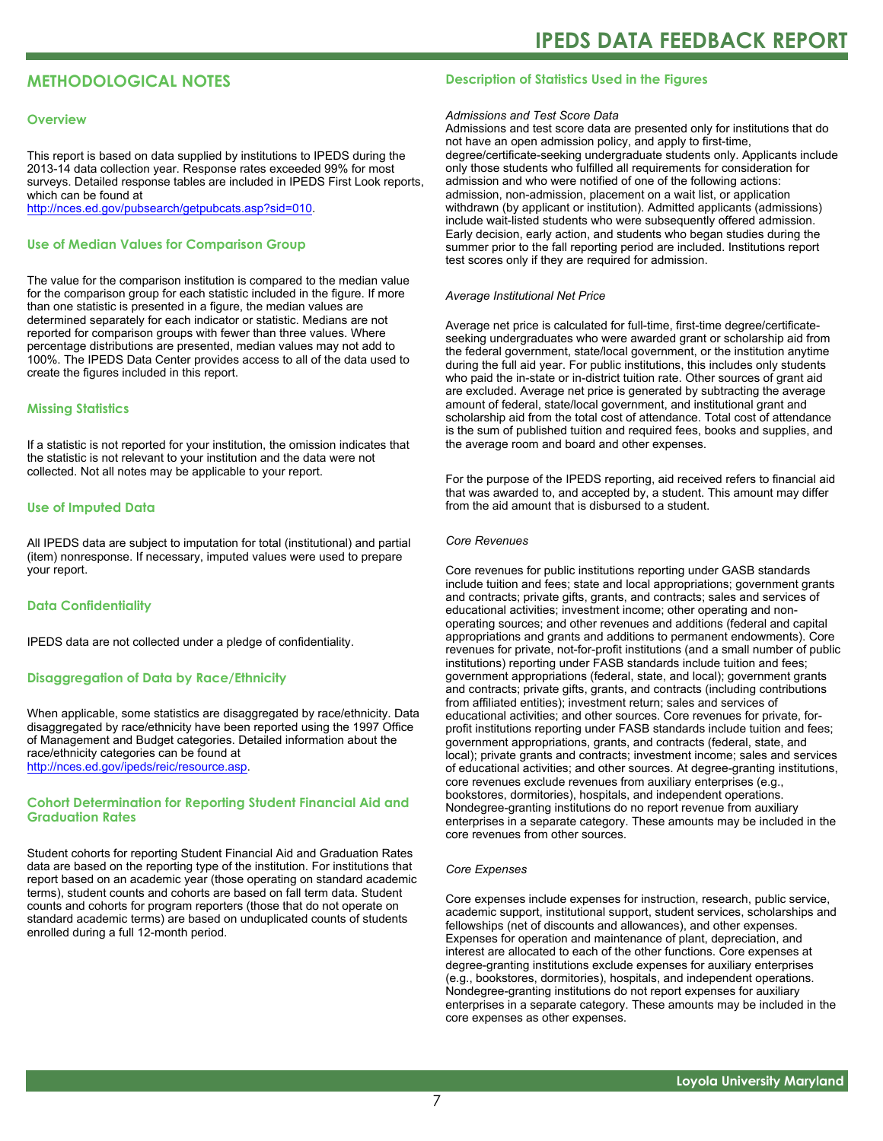### **METHODOLOGICAL NOTES**

#### **Overview**

This report is based on data supplied by institutions to IPEDS during the 2013-14 data collection year. Response rates exceeded 99% for most surveys. Detailed response tables are included in IPEDS First Look reports, which can be found at [http://nces.ed.gov/pubsearch/getpubcats.asp?sid=010.](http://nces.ed.gov/pubsearch/getpubcats.asp?sid=010)

#### **Use of Median Values for Comparison Group**

The value for the comparison institution is compared to the median value for the comparison group for each statistic included in the figure. If more than one statistic is presented in a figure, the median values are determined separately for each indicator or statistic. Medians are not reported for comparison groups with fewer than three values. Where percentage distributions are presented, median values may not add to 100%. The IPEDS Data Center provides access to all of the data used to create the figures included in this report.

#### **Missing Statistics**

If a statistic is not reported for your institution, the omission indicates that the statistic is not relevant to your institution and the data were not collected. Not all notes may be applicable to your report.

#### **Use of Imputed Data**

All IPEDS data are subject to imputation for total (institutional) and partial (item) nonresponse. If necessary, imputed values were used to prepare your report.

#### **Data Confidentiality**

IPEDS data are not collected under a pledge of confidentiality.

#### **Disaggregation of Data by Race/Ethnicity**

When applicable, some statistics are disaggregated by race/ethnicity. Data disaggregated by race/ethnicity have been reported using the 1997 Office of Management and Budget categories. Detailed information about the race/ethnicity categories can be found at <http://nces.ed.gov/ipeds/reic/resource.asp>.

#### **Cohort Determination for Reporting Student Financial Aid and Graduation Rates**

Student cohorts for reporting Student Financial Aid and Graduation Rates data are based on the reporting type of the institution. For institutions that report based on an academic year (those operating on standard academic terms), student counts and cohorts are based on fall term data. Student counts and cohorts for program reporters (those that do not operate on standard academic terms) are based on unduplicated counts of students enrolled during a full 12-month period.

#### **Description of Statistics Used in the Figures**

#### *Admissions and Test Score Data*

Admissions and test score data are presented only for institutions that do not have an open admission policy, and apply to first-time, degree/certificate-seeking undergraduate students only. Applicants include only those students who fulfilled all requirements for consideration for admission and who were notified of one of the following actions: admission, non-admission, placement on a wait list, or application withdrawn (by applicant or institution). Admitted applicants (admissions) include wait-listed students who were subsequently offered admission. Early decision, early action, and students who began studies during the summer prior to the fall reporting period are included. Institutions report test scores only if they are required for admission.

#### *Average Institutional Net Price*

Average net price is calculated for full-time, first-time degree/certificateseeking undergraduates who were awarded grant or scholarship aid from the federal government, state/local government, or the institution anytime during the full aid year. For public institutions, this includes only students who paid the in-state or in-district tuition rate. Other sources of grant aid are excluded. Average net price is generated by subtracting the average amount of federal, state/local government, and institutional grant and scholarship aid from the total cost of attendance. Total cost of attendance is the sum of published tuition and required fees, books and supplies, and the average room and board and other expenses.

For the purpose of the IPEDS reporting, aid received refers to financial aid that was awarded to, and accepted by, a student. This amount may differ from the aid amount that is disbursed to a student.

#### *Core Revenues*

Core revenues for public institutions reporting under GASB standards include tuition and fees; state and local appropriations; government grants and contracts; private gifts, grants, and contracts; sales and services of educational activities; investment income; other operating and nonoperating sources; and other revenues and additions (federal and capital appropriations and grants and additions to permanent endowments). Core revenues for private, not-for-profit institutions (and a small number of public institutions) reporting under FASB standards include tuition and fees; government appropriations (federal, state, and local); government grants and contracts; private gifts, grants, and contracts (including contributions from affiliated entities); investment return; sales and services of educational activities; and other sources. Core revenues for private, forprofit institutions reporting under FASB standards include tuition and fees; government appropriations, grants, and contracts (federal, state, and local); private grants and contracts; investment income; sales and services of educational activities; and other sources. At degree-granting institutions, core revenues exclude revenues from auxiliary enterprises (e.g., bookstores, dormitories), hospitals, and independent operations. Nondegree-granting institutions do no report revenue from auxiliary enterprises in a separate category. These amounts may be included in the core revenues from other sources.

#### *Core Expenses*

Core expenses include expenses for instruction, research, public service, academic support, institutional support, student services, scholarships and fellowships (net of discounts and allowances), and other expenses. Expenses for operation and maintenance of plant, depreciation, and interest are allocated to each of the other functions. Core expenses at degree-granting institutions exclude expenses for auxiliary enterprises (e.g., bookstores, dormitories), hospitals, and independent operations. Nondegree-granting institutions do not report expenses for auxiliary enterprises in a separate category. These amounts may be included in the core expenses as other expenses.